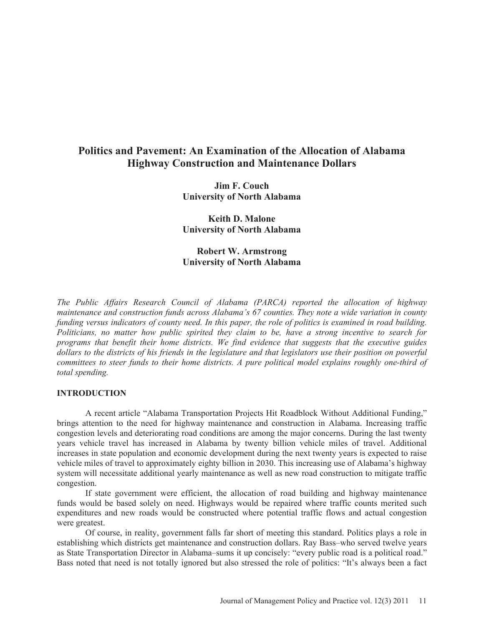# **Politics and Pavement: An Examination of the Allocation of Alabama Highway Construction and Maintenance Dollars**

**Jim F. Couch University of North Alabama** 

**Keith D. Malone University of North Alabama** 

# **Robert W. Armstrong University of North Alabama**

*The Public Affairs Research Council of Alabama (PARCA) reported the allocation of highway maintenance and construction funds across Alabama's 67 counties. They note a wide variation in county funding versus indicators of county need. In this paper, the role of politics is examined in road building. Politicians, no matter how public spirited they claim to be, have a strong incentive to search for programs that benefit their home districts. We find evidence that suggests that the executive guides*  dollars to the districts of his friends in the legislature and that legislators use their position on powerful *committees to steer funds to their home districts. A pure political model explains roughly one-third of total spending.*

#### **INTRODUCTION**

A recent article "Alabama Transportation Projects Hit Roadblock Without Additional Funding," brings attention to the need for highway maintenance and construction in Alabama. Increasing traffic congestion levels and deteriorating road conditions are among the major concerns. During the last twenty years vehicle travel has increased in Alabama by twenty billion vehicle miles of travel. Additional increases in state population and economic development during the next twenty years is expected to raise vehicle miles of travel to approximately eighty billion in 2030. This increasing use of Alabama's highway system will necessitate additional yearly maintenance as well as new road construction to mitigate traffic congestion.

If state government were efficient, the allocation of road building and highway maintenance funds would be based solely on need. Highways would be repaired where traffic counts merited such expenditures and new roads would be constructed where potential traffic flows and actual congestion were greatest.

Of course, in reality, government falls far short of meeting this standard. Politics plays a role in establishing which districts get maintenance and construction dollars. Ray Bass–who served twelve years as State Transportation Director in Alabama–sums it up concisely: "every public road is a political road." Bass noted that need is not totally ignored but also stressed the role of politics: "It's always been a fact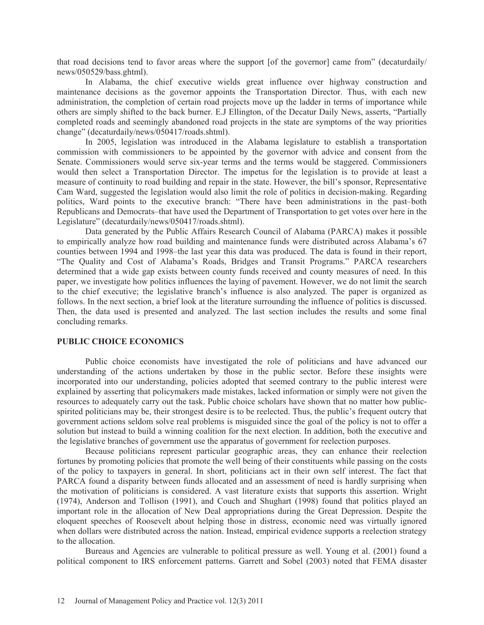that road decisions tend to favor areas where the support [of the governor] came from" (decaturdaily/ news/050529/bass.ghtml).

In Alabama, the chief executive wields great influence over highway construction and maintenance decisions as the governor appoints the Transportation Director. Thus, with each new administration, the completion of certain road projects move up the ladder in terms of importance while others are simply shifted to the back burner. E.J Ellington, of the Decatur Daily News, asserts, "Partially completed roads and seemingly abandoned road projects in the state are symptoms of the way priorities change" (decaturdaily/news/050417/roads.shtml).

In 2005, legislation was introduced in the Alabama legislature to establish a transportation commission with commissioners to be appointed by the governor with advice and consent from the Senate. Commissioners would serve six-year terms and the terms would be staggered. Commissioners would then select a Transportation Director. The impetus for the legislation is to provide at least a measure of continuity to road building and repair in the state. However, the bill's sponsor, Representative Cam Ward, suggested the legislation would also limit the role of politics in decision-making. Regarding politics, Ward points to the executive branch: "There have been administrations in the past–both Republicans and Democrats–that have used the Department of Transportation to get votes over here in the Legislature" (decaturdaily/news/050417/roads.shtml).

Data generated by the Public Affairs Research Council of Alabama (PARCA) makes it possible to empirically analyze how road building and maintenance funds were distributed across Alabama's 67 counties between 1994 and 1998–the last year this data was produced. The data is found in their report, "The Quality and Cost of Alabama's Roads, Bridges and Transit Programs." PARCA researchers determined that a wide gap exists between county funds received and county measures of need. In this paper, we investigate how politics influences the laying of pavement. However, we do not limit the search to the chief executive; the legislative branch's influence is also analyzed. The paper is organized as follows. In the next section, a brief look at the literature surrounding the influence of politics is discussed. Then, the data used is presented and analyzed. The last section includes the results and some final concluding remarks.

#### **PUBLIC CHOICE ECONOMICS**

Public choice economists have investigated the role of politicians and have advanced our understanding of the actions undertaken by those in the public sector. Before these insights were incorporated into our understanding, policies adopted that seemed contrary to the public interest were explained by asserting that policymakers made mistakes, lacked information or simply were not given the resources to adequately carry out the task. Public choice scholars have shown that no matter how publicspirited politicians may be, their strongest desire is to be reelected. Thus, the public's frequent outcry that government actions seldom solve real problems is misguided since the goal of the policy is not to offer a solution but instead to build a winning coalition for the next election. In addition, both the executive and the legislative branches of government use the apparatus of government for reelection purposes.

Because politicians represent particular geographic areas, they can enhance their reelection fortunes by promoting policies that promote the well being of their constituents while passing on the costs of the policy to taxpayers in general. In short, politicians act in their own self interest. The fact that PARCA found a disparity between funds allocated and an assessment of need is hardly surprising when the motivation of politicians is considered. A vast literature exists that supports this assertion. Wright (1974), Anderson and Tollison (1991), and Couch and Shughart (1998) found that politics played an important role in the allocation of New Deal appropriations during the Great Depression. Despite the eloquent speeches of Roosevelt about helping those in distress, economic need was virtually ignored when dollars were distributed across the nation. Instead, empirical evidence supports a reelection strategy to the allocation.

Bureaus and Agencies are vulnerable to political pressure as well. Young et al. (2001) found a political component to IRS enforcement patterns. Garrett and Sobel (2003) noted that FEMA disaster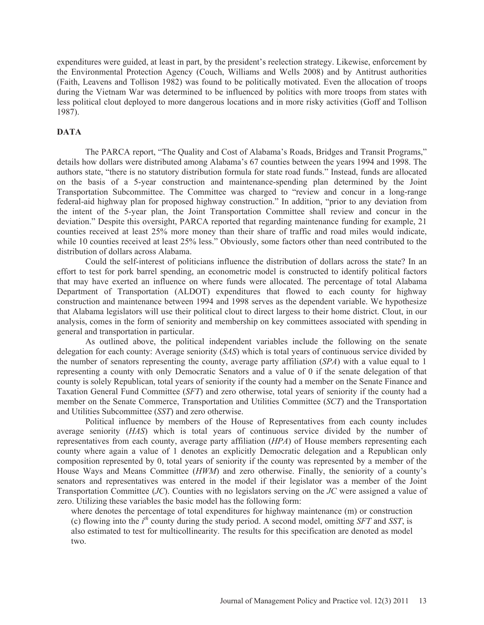expenditures were guided, at least in part, by the president's reelection strategy. Likewise, enforcement by the Environmental Protection Agency (Couch, Williams and Wells 2008) and by Antitrust authorities (Faith, Leavens and Tollison 1982) was found to be politically motivated. Even the allocation of troops during the Vietnam War was determined to be influenced by politics with more troops from states with less political clout deployed to more dangerous locations and in more risky activities (Goff and Tollison 1987).

### **DATA**

The PARCA report, "The Quality and Cost of Alabama's Roads, Bridges and Transit Programs," details how dollars were distributed among Alabama's 67 counties between the years 1994 and 1998. The authors state, "there is no statutory distribution formula for state road funds." Instead, funds are allocated on the basis of a 5-year construction and maintenance-spending plan determined by the Joint Transportation Subcommittee. The Committee was charged to "review and concur in a long-range federal-aid highway plan for proposed highway construction." In addition, "prior to any deviation from the intent of the 5-year plan, the Joint Transportation Committee shall review and concur in the deviation." Despite this oversight, PARCA reported that regarding maintenance funding for example, 21 counties received at least 25% more money than their share of traffic and road miles would indicate, while 10 counties received at least 25% less." Obviously, some factors other than need contributed to the distribution of dollars across Alabama.

Could the self-interest of politicians influence the distribution of dollars across the state? In an effort to test for pork barrel spending, an econometric model is constructed to identify political factors that may have exerted an influence on where funds were allocated. The percentage of total Alabama Department of Transportation (ALDOT) expenditures that flowed to each county for highway construction and maintenance between 1994 and 1998 serves as the dependent variable. We hypothesize that Alabama legislators will use their political clout to direct largess to their home district. Clout, in our analysis, comes in the form of seniority and membership on key committees associated with spending in general and transportation in particular.

As outlined above, the political independent variables include the following on the senate delegation for each county: Average seniority (*SAS*) which is total years of continuous service divided by the number of senators representing the county, average party affiliation (*SPA*) with a value equal to 1 representing a county with only Democratic Senators and a value of 0 if the senate delegation of that county is solely Republican, total years of seniority if the county had a member on the Senate Finance and Taxation General Fund Committee (*SFT*) and zero otherwise, total years of seniority if the county had a member on the Senate Commerce, Transportation and Utilities Committee (*SCT*) and the Transportation and Utilities Subcommittee (*SST*) and zero otherwise.

Political influence by members of the House of Representatives from each county includes average seniority (*HAS*) which is total years of continuous service divided by the number of representatives from each county, average party affiliation (*HPA*) of House members representing each county where again a value of 1 denotes an explicitly Democratic delegation and a Republican only composition represented by 0, total years of seniority if the county was represented by a member of the House Ways and Means Committee (*HWM*) and zero otherwise. Finally, the seniority of a county's senators and representatives was entered in the model if their legislator was a member of the Joint Transportation Committee (*JC*). Counties with no legislators serving on the *JC* were assigned a value of zero. Utilizing these variables the basic model has the following form:

where denotes the percentage of total expenditures for highway maintenance (m) or construction (c) flowing into the *i th* county during the study period. A second model, omitting *SFT* and *SST*, is also estimated to test for multicollinearity. The results for this specification are denoted as model two.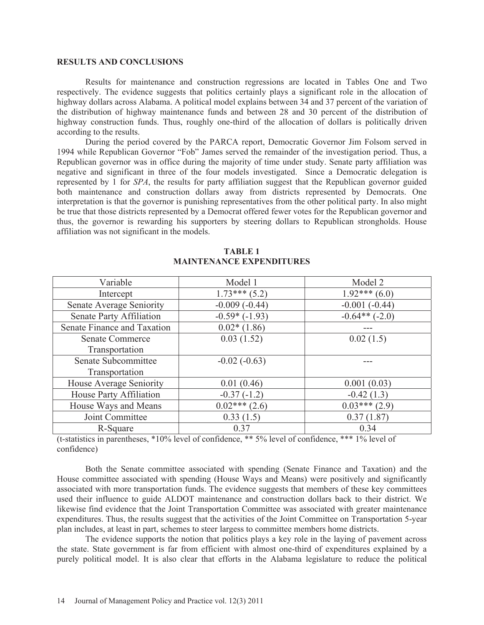#### **RESULTS AND CONCLUSIONS**

Results for maintenance and construction regressions are located in Tables One and Two respectively. The evidence suggests that politics certainly plays a significant role in the allocation of highway dollars across Alabama. A political model explains between 34 and 37 percent of the variation of the distribution of highway maintenance funds and between 28 and 30 percent of the distribution of highway construction funds. Thus, roughly one-third of the allocation of dollars is politically driven according to the results.

During the period covered by the PARCA report, Democratic Governor Jim Folsom served in 1994 while Republican Governor "Fob" James served the remainder of the investigation period. Thus, a Republican governor was in office during the majority of time under study. Senate party affiliation was negative and significant in three of the four models investigated. Since a Democratic delegation is represented by 1 for *SPA*, the results for party affiliation suggest that the Republican governor guided both maintenance and construction dollars away from districts represented by Democrats. One interpretation is that the governor is punishing representatives from the other political party. In also might be true that those districts represented by a Democrat offered fewer votes for the Republican governor and thus, the governor is rewarding his supporters by steering dollars to Republican strongholds. House affiliation was not significant in the models.

| Variable                    | Model 1            | Model 2         |
|-----------------------------|--------------------|-----------------|
| Intercept                   | $1.73***(5.2)$     | $1.92***(6.0)$  |
| Senate Average Seniority    | $-0.009(-0.44)$    | $-0.001(-0.44)$ |
| Senate Party Affiliation    | $-0.59*(-1.93)$    | $-0.64**(-2.0)$ |
| Senate Finance and Taxation | $0.02*(1.86)$      |                 |
| <b>Senate Commerce</b>      | 0.03(1.52)         | 0.02(1.5)       |
| Transportation              |                    |                 |
| Senate Subcommittee         | $-0.02(-0.63)$     |                 |
| Transportation              |                    |                 |
| House Average Seniority     | 0.01(0.46)         | 0.001(0.03)     |
| House Party Affiliation     | $-0.37(-1.2)$      | $-0.42(1.3)$    |
| House Ways and Means        | $0.02$ *** $(2.6)$ | $0.03***(2.9)$  |
| Joint Committee             | 0.33(1.5)          | 0.37(1.87)      |
| R-Square                    | 0.37               | 0.34            |

#### **TABLE 1 MAINTENANCE EXPENDITURES**

(t-statistics in parentheses, \*10% level of confidence, \*\* 5% level of confidence, \*\*\* 1% level of confidence)

Both the Senate committee associated with spending (Senate Finance and Taxation) and the House committee associated with spending (House Ways and Means) were positively and significantly associated with more transportation funds. The evidence suggests that members of these key committees used their influence to guide ALDOT maintenance and construction dollars back to their district. We likewise find evidence that the Joint Transportation Committee was associated with greater maintenance expenditures. Thus, the results suggest that the activities of the Joint Committee on Transportation 5-year plan includes, at least in part, schemes to steer largess to committee members home districts.

The evidence supports the notion that politics plays a key role in the laying of pavement across the state. State government is far from efficient with almost one-third of expenditures explained by a purely political model. It is also clear that efforts in the Alabama legislature to reduce the political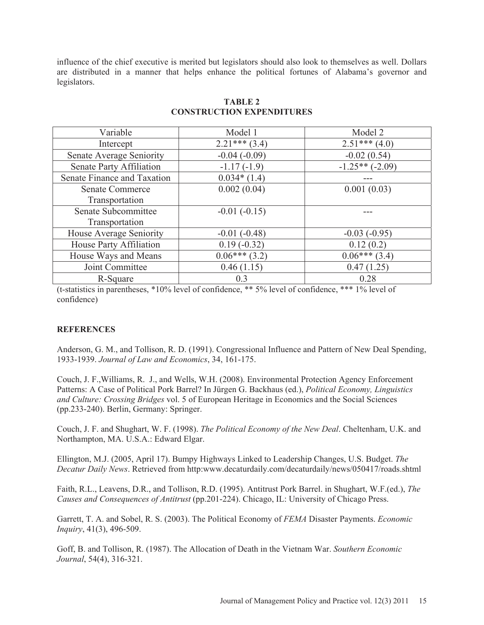influence of the chief executive is merited but legislators should also look to themselves as well. Dollars are distributed in a manner that helps enhance the political fortunes of Alabama's governor and legislators.

| Variable                    | Model 1         | Model 2          |
|-----------------------------|-----------------|------------------|
| Intercept                   | $2.21***$ (3.4) | $2.51***(4.0)$   |
| Senate Average Seniority    | $-0.04(-0.09)$  | $-0.02(0.54)$    |
| Senate Party Affiliation    | $-1.17(-1.9)$   | $-1.25**(-2.09)$ |
| Senate Finance and Taxation | $0.034*(1.4)$   |                  |
| <b>Senate Commerce</b>      | 0.002(0.04)     | 0.001(0.03)      |
| Transportation              |                 |                  |
| Senate Subcommittee         | $-0.01(-0.15)$  |                  |
| Transportation              |                 |                  |
| House Average Seniority     | $-0.01(-0.48)$  | $-0.03(-0.95)$   |
| House Party Affiliation     | $0.19(-0.32)$   | 0.12(0.2)        |
| House Ways and Means        | $0.06***(3.2)$  | $0.06***(3.4)$   |
| Joint Committee             | 0.46(1.15)      | 0.47(1.25)       |
| R-Square                    | 0.3             | 0.28             |

## **TABLE 2 CONSTRUCTION EXPENDITURES**

(t-statistics in parentheses, \*10% level of confidence, \*\* 5% level of confidence, \*\*\* 1% level of confidence)

### **REFERENCES**

Anderson, G. M., and Tollison, R. D. (1991). Congressional Influence and Pattern of New Deal Spending, 1933-1939. *Journal of Law and Economics*, 34, 161-175.

Couch, J. F.,Williams, R. J., and Wells, W.H. (2008). Environmental Protection Agency Enforcement Patterns: A Case of Political Pork Barrel? In Jürgen G. Backhaus (ed.), *Political Economy, Linguistics and Culture: Crossing Bridges* vol. 5 of European Heritage in Economics and the Social Sciences (pp.233-240). Berlin, Germany: Springer.

Couch, J. F. and Shughart, W. F. (1998). *The Political Economy of the New Deal*. Cheltenham, U.K. and Northampton, MA. U.S.A.: Edward Elgar.

Ellington, M.J. (2005, April 17). Bumpy Highways Linked to Leadership Changes, U.S. Budget. *The Decatur Daily News*. Retrieved from http:www.decaturdaily.com/decaturdaily/news/050417/roads.shtml

Faith, R.L., Leavens, D.R., and Tollison, R.D. (1995). Antitrust Pork Barrel. in Shughart, W.F.(ed.), *The Causes and Consequences of Antitrust* (pp.201-224). Chicago, IL: University of Chicago Press.

Garrett, T. A. and Sobel, R. S. (2003). The Political Economy of *FEMA* Disaster Payments. *Economic Inquiry*, 41(3), 496-509.

Goff, B. and Tollison, R. (1987). The Allocation of Death in the Vietnam War. *Southern Economic Journal*, 54(4), 316-321.